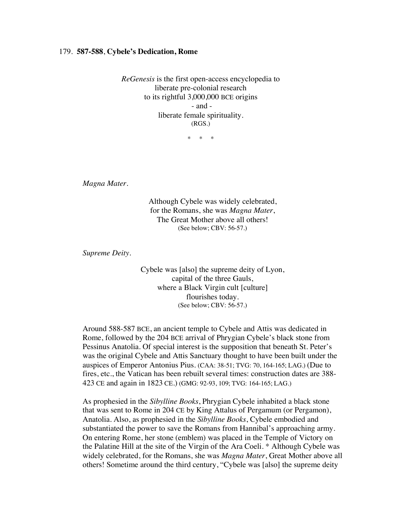## 179. **587-588**, **Cybele's Dedication, Rome**

*ReGenesis* is the first open-access encyclopedia to liberate pre-colonial research to its rightful 3,000,000 BCE origins - and liberate female spirituality. (RGS.)

 $*$  \*

*Magna Mater.*

Although Cybele was widely celebrated, for the Romans, she was *Magna Mater*, The Great Mother above all others! (See below; CBV: 56-57.)

*Supreme Deity.*

Cybele was [also] the supreme deity of Lyon, capital of the three Gauls, where a Black Virgin cult [culture] flourishes today. (See below; CBV: 56-57.)

Around 588-587 BCE, an ancient temple to Cybele and Attis was dedicated in Rome, followed by the 204 BCE arrival of Phrygian Cybele's black stone from Pessinus Anatolia. Of special interest is the supposition that beneath St. Peter's was the original Cybele and Attis Sanctuary thought to have been built under the auspices of Emperor Antonius Pius. (CAA: 38-51; TVG: 70, 164-165; LAG.) (Due to fires, etc., the Vatican has been rebuilt several times: construction dates are 388- 423 CE and again in 1823 CE.) (GMG: 92-93, 109; TVG: 164-165; LAG.)

As prophesied in the *Sibylline Books*, Phrygian Cybele inhabited a black stone that was sent to Rome in 204 CE by King Attalus of Pergamum (or Pergamon), Anatolia. Also, as prophesied in the *Sibylline Books*, Cybele embodied and substantiated the power to save the Romans from Hannibal's approaching army. On entering Rome, her stone (emblem) was placed in the Temple of Victory on the Palatine Hill at the site of the Virgin of the Ara Coeli. \* Although Cybele was widely celebrated, for the Romans, she was *Magna Mater*, Great Mother above all others! Sometime around the third century, "Cybele was [also] the supreme deity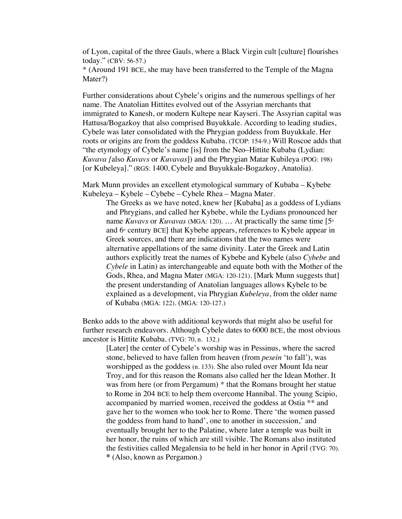of Lyon, capital of the three Gauls, where a Black Virgin cult [culture] flourishes today." (CBV: 56-57.)

\* (Around 191 BCE, she may have been transferred to the Temple of the Magna Mater?)

Further considerations about Cybele's origins and the numerous spellings of her name. The Anatolian Hittites evolved out of the Assyrian merchants that immigrated to Kanesh, or modern Kultepe near Kayseri. The Assyrian capital was Hattusa/Bogazkoy that also comprised Buyukkale. According to leading studies, Cybele was later consolidated with the Phrygian goddess from Buyukkale. Her roots or origins are from the goddess Kubaba. (TCOP: 154-9.) Will Roscoe adds that "the etymology of Cybele's name [is] from the Neo–Hittite Kubaba (Lydian: *Kuvava [*also *Kuvavs* or *Kuvavas*]) and the Phrygian Matar Kubileya (POG: 198) [or Kubeleya]." (RGS: 1400, Cybele and Buyukkale-Bogazkoy, Anatolia).

Mark Munn provides an excellent etymological summary of Kubaba – Kybebe Kubeleya – Kybele – Cybebe – Cybele Rhea – Magna Mater.

The Greeks as we have noted, knew her [Kubaba] as a goddess of Lydians and Phrygians, and called her Kybebe, while the Lydians pronounced her name *Kuvavs* or *Kuvavas* (MGA: 120). ... At practically the same time [5<sup>th</sup>] and  $6<sup>*</sup>$  century BCE] that Kybebe appears, references to Kybele appear in Greek sources, and there are indications that the two names were alternative appellations of the same divinity. Later the Greek and Latin authors explicitly treat the names of Kybebe and Kybele (also *Cybebe* and *Cybele* in Latin) as interchangeable and equate both with the Mother of the Gods, Rhea, and Magna Mater (MGA: 120-121). [Mark Munn suggests that] the present understanding of Anatolian languages allows Kybele to be explained as a development, via Phrygian *Kubeleya*, from the older name of Kubaba (MGA: 122). (MGA: 120-127.)

Benko adds to the above with additional keywords that might also be useful for further research endeavors. Although Cybele dates to 6000 BCE, the most obvious ancestor is Hittite Kubaba. (TVG: 70, n. 132.)

[Later] the center of Cybele's worship was in Pessinus, where the sacred stone, believed to have fallen from heaven (from *pesein* 'to fall'), was worshipped as the goddess (n. 133). She also ruled over Mount Ida near Troy, and for this reason the Romans also called her the Idean Mother. It was from here (or from Pergamum) \* that the Romans brought her statue to Rome in 204 BCE to help them overcome Hannibal. The young Scipio, accompanied by married women, received the goddess at Ostia \*\* and gave her to the women who took her to Rome. There 'the women passed the goddess from hand to hand', one to another in succession,' and eventually brought her to the Palatine, where later a temple was built in her honor, the ruins of which are still visible. The Romans also instituted the festivities called Megalensia to be held in her honor in April (TVG: 70). **\*** (Also, known as Pergamon.)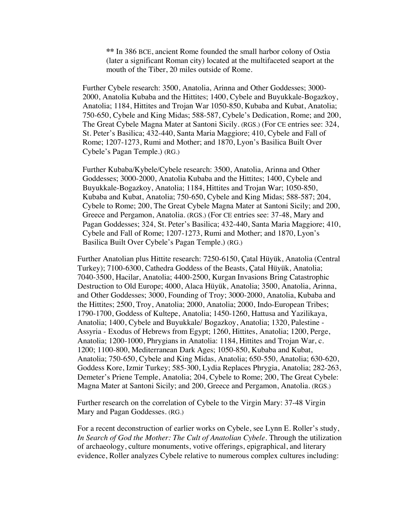**\*\*** In 386 BCE, ancient Rome founded the small harbor colony of Ostia (later a significant Roman city) located at the multifaceted seaport at the mouth of the Tiber, 20 miles outside of Rome.

Further Cybele research: 3500, Anatolia, Arinna and Other Goddesses; 3000- 2000, Anatolia Kubaba and the Hittites; 1400, Cybele and Buyukkale-Bogazkoy, Anatolia; 1184, Hittites and Trojan War 1050-850, Kubaba and Kubat, Anatolia; 750-650, Cybele and King Midas; 588-587, Cybele's Dedication, Rome; and 200, The Great Cybele Magna Mater at Santoni Sicily. (RGS.) (For CE entries see: 324, St. Peter's Basilica; 432-440, Santa Maria Maggiore; 410, Cybele and Fall of Rome; 1207-1273, Rumi and Mother; and 1870, Lyon's Basilica Built Over Cybele's Pagan Temple.) (RG.)

Further Kubaba/Kybele/Cybele research: 3500, Anatolia, Arinna and Other Goddesses; 3000-2000, Anatolia Kubaba and the Hittites; 1400, Cybele and Buyukkale-Bogazkoy, Anatolia; 1184, Hittites and Trojan War; 1050-850, Kubaba and Kubat, Anatolia; 750-650, Cybele and King Midas; 588-587; 204, Cybele to Rome; 200, The Great Cybele Magna Mater at Santoni Sicily; and 200, Greece and Pergamon, Anatolia. (RGS.) (For CE entries see: 37-48, Mary and Pagan Goddesses; 324, St. Peter's Basilica; 432-440, Santa Maria Maggiore; 410, Cybele and Fall of Rome; 1207-1273, Rumi and Mother; and 1870, Lyon's Basilica Built Over Cybele's Pagan Temple.) (RG.)

Further Anatolian plus Hittite research: 7250-6150, Çatal Hüyük, Anatolia (Central Turkey); 7100-6300, Cathedra Goddess of the Beasts, Çatal Hüyük, Anatolia; 7040-3500, Hacilar, Anatolia; 4400-2500, Kurgan Invasions Bring Catastrophic Destruction to Old Europe; 4000, Alaca Hüyük, Anatolia; 3500, Anatolia, Arinna, and Other Goddesses; 3000, Founding of Troy; 3000-2000, Anatolia, Kubaba and the Hittites; 2500, Troy, Anatolia; 2000, Anatolia; 2000, Indo-European Tribes; 1790-1700, Goddess of Kultepe, Anatolia; 1450-1260, Hattusa and Yazilikaya, Anatolia; 1400, Cybele and Buyukkale/ Bogazkoy, Anatolia; 1320, Palestine - Assyria - Exodus of Hebrews from Egypt; 1260, Hittites, Anatolia; 1200, Perge, Anatolia; 1200-1000, Phrygians in Anatolia: 1184, Hittites and Trojan War, c. 1200; 1100-800, Mediterranean Dark Ages; 1050-850, Kubaba and Kubat, Anatolia; 750-650, Cybele and King Midas, Anatolia; 650-550, Anatolia; 630-620, Goddess Kore, Izmir Turkey; 585-300, Lydia Replaces Phrygia, Anatolia; 282-263, Demeter's Priene Temple, Anatolia; 204, Cybele to Rome; 200, The Great Cybele: Magna Mater at Santoni Sicily; and 200, Greece and Pergamon, Anatolia. (RGS.)

Further research on the correlation of Cybele to the Virgin Mary: 37-48 Virgin Mary and Pagan Goddesses. (RG.)

For a recent deconstruction of earlier works on Cybele, see Lynn E. Roller's study, In Search of God the Mother: The Cult of Anatolian Cybele. Through the utilization of archaeology, culture monuments, votive offerings, epigraphical, and literary evidence, Roller analyzes Cybele relative to numerous complex cultures including: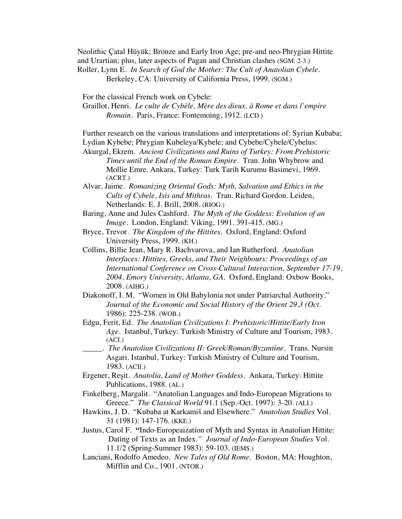Neolithic Çatal Hüyük; Bronze and Early Iron Age; pre-and neo-Phrygian Hittite and Urartian; plus, later aspects of Pagan and Christian clashes (SGM: 2-3.) Roller, Lynn E. *In Search of God the Mother: The Cult of Anatolian Cybele.*

Berkeley, CA: University of California Press, 1999. (SGM.)

For the classical French work on Cybele:

Graillot, Henri. *Le culte de Cybèle, Mère des dieux, à Rome et dans l'empire Romain.* Paris, France: Fontemoing, 1912. (LCD.)

Further research on the various translations and interpretations of: Syrian Kubaba; Lydian Kybebe; Phrygian Kubeleya/Kybele; and Cybebe/Cybele/Cybelus:

Akurgal, Ekrem*. Ancient Civilizations and Ruins of Turkey: From Prehistoric Times until the End of the Roman Empire*. Tran. John Whybrow and Mollie Emre. Ankara, Turkey: Turk Tarih Kurumu Basimevi, 1969. (ACRT.)

- Alvar, Jaime. *Romanizing Oriental Gods: Myth, Salvation and Ethics in the Cults of Cybele, Isis and Mithras*. Tran. Richard Gordon. Leiden, Netherlands: E. J. Brill, 2008. (RIOG.)
- Baring, Anne and Jules Cashford. *The Myth of the Goddess: Evolution of an Image*. London, England: Viking, 1991. 391-415. (MG.)
- Bryce, Trevor. *The Kingdom of the Hittites*. Oxford, England: Oxford University Press, 1999. (KH.)
- Collins, Billie Jean, Mary R. Bachvarova, and Ian Rutherford. *Anatolian Interfaces: Hittites, Greeks, and Their Neighbours: Proceedings of an International Conference on Cross-Cultural Interaction, September 17-19, 2004, Emory University, Atlanta, GA.* Oxford, England: Oxbow Books, 2008. (AIHG.)
- Diakonoff, I. M. "Women in Old Babylonia not under Patriarchal Authority." *Journal of the Economic and Social History of the Orient 29.3 (Oct.*  1986): 225-238. (WOB.)
- Edgu, Ferit, Ed. *The Anatolian Civilizations I: Prehistoric/Hittite/Early Iron Age*. Istanbul, Turkey: Turkish Ministry of Culture and Tourism, 1983. (ACI.)
	- \_\_\_\_\_. *The Anatolian Civilizations II: Greek/Roman/Byzantine*. Trans. Nursin Asgari. Istanbul, Turkey: Turkish Ministry of Culture and Tourism, 1983. (ACII.)
- Ergener, Reşit. *Anatolia, Land of Mother Goddess*. Ankara, Turkey: Hittite Publications, 1988. (AL.)
- Finkelberg, Margalit. "Anatolian Languages and Indo-European Migrations to Greece." *The Classical World* 91.1 (Sep.-Oct. 1997): 3-20. (ALI.)
- Hawkins, J. D. "Kubaba at Karkamiš and Elsewhere." *Anatolian Studies* Vol. 31 (1981): 147-176. (KKE.)
- Justus, Carol F. **"**Indo-Europeaization of Myth and Syntax in Anatolian Hittite: Dating of Texts as an Index*." Journal of Indo-European Studies* Vol. 11.1/2 (Spring-Summer 1983): 59-103. (IEMS.)
- Lanciani, Rodolfo Amedeo. *New Tales of Old Rome*. Boston, MA: Houghton, Mifflin and Co., 1901. (NTOR.)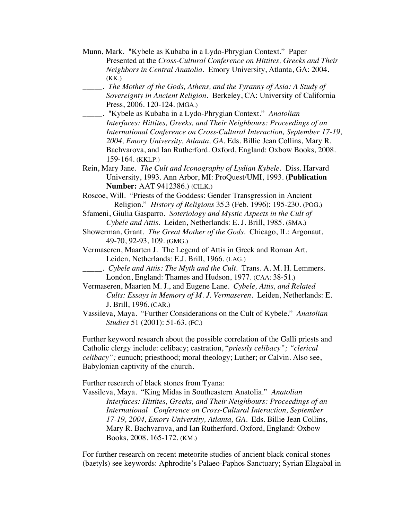- Munn, Mark. "Kybele as Kubaba in a Lydo-Phrygian Context." Paper Presented at the *Cross-Cultural Conference on Hittites, Greeks and Their Neighbors in Central Anatolia.* Emory University, Atlanta, GA: 2004. (KK.)
- \_\_\_\_\_. *The Mother of the Gods, Athens, and the Tyranny of Asia: A Study of Sovereignty in Ancient Religion.* Berkeley, CA: University of California Press, 2006. 120-124. (MGA.)
- \_\_\_\_\_. "Kybele as Kubaba in a Lydo-Phrygian Context." *Anatolian Interfaces: Hittites, Greeks, and Their Neighbours: Proceedings of an International Conference on Cross-Cultural Interaction, September 17-19, 2004, Emory University, Atlanta, GA.* Eds. Billie Jean Collins, Mary R. Bachvarova, and Ian Rutherford. Oxford, England: Oxbow Books, 2008. 159-164. (KKLP.)
- Rein, Mary Jane. *The Cult and Iconography of Lydian Kybele.* Diss. Harvard University, 1993. Ann Arbor, MI: ProQuest/UMI, 1993. (**Publication Number:** AAT 9412386.) (CILK.)
- Roscoe, Will. "Priests of the Goddess: Gender Transgression in Ancient Religion." *History of Religions* 35.3 (Feb. 1996): 195-230. (POG.)
- Sfameni, Giulia Gasparro. *Soteriology and Mystic Aspects in the Cult of Cybele and Attis.* Leiden, Netherlands: E. J. Brill, 1985. (SMA.)
- Showerman, Grant. *The Great Mother of the Gods*. Chicago, IL: Argonaut, 49-70, 92-93, 109. (GMG.)
- Vermaseren, Maarten J. The Legend of Attis in Greek and Roman Art. Leiden, Netherlands: E.J. Brill, 1966. (LAG.)
- \_\_\_\_\_. *Cybele and Attis: The Myth and the Cult.* Trans. A. M. H. Lemmers. London, England: Thames and Hudson, 1977. (CAA: 38-51.)
- Vermaseren, Maarten M. J., and Eugene Lane. *Cybele, Attis, and Related Cults: Essays in Memory of M. J. Vermaseren*. Leiden, Netherlands: E. J. Brill, 1996. (CAR.)
- Vassileva, Maya. "Further Considerations on the Cult of Kybele." *Anatolian Studies* 51 (2001): 51-63. (FC.)

Further keyword research about the possible correlation of the Galli priests and Catholic clergy include: celibacy; castration, "*priestly celibacy"; "clerical celibacy";* eunuch; priesthood; moral theology; Luther; or Calvin. Also see, Babylonian captivity of the church.

Further research of black stones from Tyana:

Vassileva, Maya. "King Midas in Southeastern Anatolia." *Anatolian Interfaces: Hittites, Greeks, and Their Neighbours: Proceedings of an International Conference on Cross-Cultural Interaction, September 17-19, 2004, Emory University, Atlanta, GA.* Eds. Billie Jean Collins, Mary R. Bachvarova, and Ian Rutherford. Oxford, England: Oxbow Books, 2008. 165-172. (KM.)

For further research on recent meteorite studies of ancient black conical stones (baetyls) see keywords: Aphrodite's Palaeo-Paphos Sanctuary; Syrian Elagabal in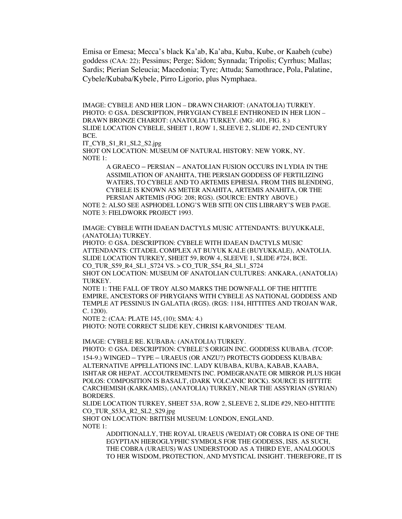Emisa or Emesa; Mecca's black Ka'ab, Ka'aba, Kuba, Kube, or Kaabeh (cube) goddess (CAA: 22); Pessinus; Perge; Sidon; Synnada; Tripolis; Cyrrhus; Mallas; Sardis; Pierian Seleucia; Macedonia; Tyre; Attuda; Samothrace, Pola, Palatine, Cybele/Kubaba/Kybele, Pirro Ligorio, plus Nymphaea.

IMAGE: CYBELE AND HER LION – DRAWN CHARIOT: (ANATOLIA) TURKEY. PHOTO: © GSA. DESCRIPTION, PHRYGIAN CYBELE ENTHRONED IN HER LION – DRAWN BRONZE CHARIOT: (ANATOLIA) TURKEY. (MG: 401, FIG. 8.) SLIDE LOCATION CYBELE, SHEET 1, ROW 1, SLEEVE 2, SLIDE #2, 2ND CENTURY BCE.

IT\_CYB\_S1\_R1\_SL2\_S2.jpg

SHOT ON LOCATION: MUSEUM OF NATURAL HISTORY: NEW YORK, NY. NOTE 1:

> A GRAECO – PERSIAN – ANATOLIAN FUSION OCCURS IN LYDIA IN THE ASSIMILATION OF ANAHITA, THE PERSIAN GODDESS OF FERTILIZING WATERS, TO CYBELE AND TO ARTEMIS EPHESIA. FROM THIS BLENDING, CYBELE IS KNOWN AS METER ANAHITA, ARTEMIS ANAHITA, OR THE PERSIAN ARTEMIS (FOG: 208; RGS). (SOURCE: ENTRY ABOVE.)

NOTE 2: ALSO SEE ASPHODEL LONG'S WEB SITE ON CIIS LIBRARY'S WEB PAGE. NOTE 3: FIELDWORK PROJECT 1993.

IMAGE: CYBELE WITH IDAEAN DACTYLS MUSIC ATTENDANTS: BUYUKKALE, (ANATOLIA) TURKEY.

PHOTO: © GSA. DESCRIPTION: CYBELE WITH IDAEAN DACTYLS MUSIC ATTENDANTS: CITADEL COMPLEX AT BUYUK KALE (BUYUKKALE), ANATOLIA. SLIDE LOCATION TURKEY, SHEET 59, ROW 4, SLEEVE 1, SLIDE #724, BCE. CO\_TUR\_S59\_R4\_SL1\_S724 VS. > CO\_TUR\_S54\_R4\_SL1\_S724

SHOT ON LOCATION: MUSEUM OF ANATOLIAN CULTURES: ANKARA, (ANATOLIA) TURKEY.

NOTE 1: THE FALL OF TROY ALSO MARKS THE DOWNFALL OF THE HITTITE EMPIRE, ANCESTORS OF PHRYGIANS WITH CYBELE AS NATIONAL GODDESS AND TEMPLE AT PESSINUS IN GALATIA (RGS). (RGS: 1184, HITTITES AND TROJAN WAR, C. 1200).

NOTE 2: (CAA: PLATE 145, (10); SMA: 4.)

PHOTO: NOTE CORRECT SLIDE KEY, CHRISI KARVONIDES' TEAM.

IMAGE: CYBELE RE. KUBABA: (ANATOLIA) TURKEY.

PHOTO: © GSA. DESCRIPTION: CYBELE'S ORIGIN INC. GODDESS KUBABA. (TCOP: 154-9.) WINGED – TYPE – URAEUS (OR ANZU?) PROTECTS GODDESS KUBABA: ALTERNATIVE APPELLATIONS INC. LADY KUBABA, KUBA, KABAB, KAABA, ISHTAR OR HEPAT. ACCOUTREMENTS INC. POMEGRANATE OR MIRROR PLUS HIGH POLOS: COMPOSITION IS BASALT, (DARK VOLCANIC ROCK). SOURCE IS HITTITE CARCHEMISH (KARKAMIS), (ANATOLIA) TURKEY, NEAR THE ASSYRIAN (SYRIAN) BORDERS.

SLIDE LOCATION TURKEY, SHEET 53A, ROW 2, SLEEVE 2, SLIDE #29, NEO-HITTITE CO\_TUR\_S53A\_R2\_SL2\_S29.jpg

SHOT ON LOCATION: BRITISH MUSEUM: LONDON, ENGLAND. NOTE 1:

> ADDITIONALLY, THE ROYAL URAEUS (WEDJAT) OR COBRA IS ONE OF THE EGYPTIAN HIEROGLYPHIC SYMBOLS FOR THE GODDESS, ISIS. AS SUCH, THE COBRA (URAEUS) WAS UNDERSTOOD AS A THIRD EYE, ANALOGOUS TO HER WISDOM, PROTECTION, AND MYSTICAL INSIGHT. THEREFORE, IT IS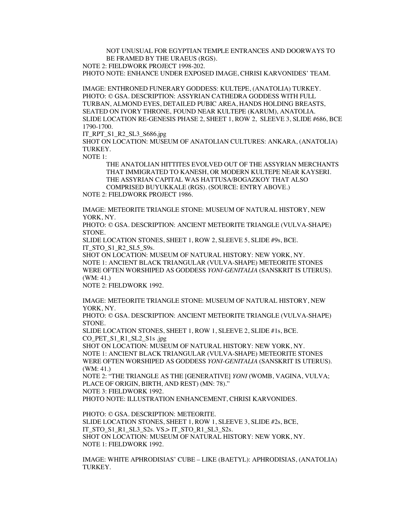NOT UNUSUAL FOR EGYPTIAN TEMPLE ENTRANCES AND DOORWAYS TO BE FRAMED BY THE URAEUS (RGS).

NOTE 2: FIELDWORK PROJECT 1998-202.

PHOTO NOTE: ENHANCE UNDER EXPOSED IMAGE, CHRISI KARVONIDES' TEAM.

IMAGE: ENTHRONED FUNERARY GODDESS: KULTEPE, (ANATOLIA) TURKEY. PHOTO: © GSA. DESCRIPTION: ASSYRIAN CATHEDRA GODDESS WITH FULL TURBAN, ALMOND EYES, DETAILED PUBIC AREA, HANDS HOLDING BREASTS, SEATED ON IVORY THRONE, FOUND NEAR KULTEPE (KARUM), ANATOLIA. SLIDE LOCATION RE-GENESIS PHASE 2, SHEET 1, ROW 2, SLEEVE 3, SLIDE #686, BCE 1790-1700.

IT\_RPT\_S1\_R2\_SL3\_S686.jpg

SHOT ON LOCATION: MUSEUM OF ANATOLIAN CULTURES: ANKARA, (ANATOLIA) **TURKEY** 

NOTE 1:

THE ANATOLIAN HITTITES EVOLVED OUT OF THE ASSYRIAN MERCHANTS THAT IMMIGRATED TO KANESH, OR MODERN KULTEPE NEAR KAYSERI. THE ASSYRIAN CAPITAL WAS HATTUSA/BOGAZKOY THAT ALSO COMPRISED BUYUKKALE (RGS). (SOURCE: ENTRY ABOVE.) NOTE 2: FIELDWORK PROJECT 1986.

IMAGE: METEORITE TRIANGLE STONE: MUSEUM OF NATURAL HISTORY, NEW YORK, NY.

PHOTO: © GSA. DESCRIPTION: ANCIENT METEORITE TRIANGLE (VULVA-SHAPE) STONE.

SLIDE LOCATION STONES, SHEET 1, ROW 2, SLEEVE 5, SLIDE #9s, BCE. IT\_STO\_S1\_R2\_SL5\_S9s.

SHOT ON LOCATION: MUSEUM OF NATURAL HISTORY: NEW YORK, NY. NOTE 1: ANCIENT BLACK TRIANGULAR (VULVA-SHAPE) METEORITE STONES WERE OFTEN WORSHIPED AS GODDESS *YONI-GENITALIA* (SANSKRIT IS UTERUS). (WM: 41.)

NOTE 2: FIELDWORK 1992.

IMAGE: METEORITE TRIANGLE STONE: MUSEUM OF NATURAL HISTORY, NEW YORK, NY.

PHOTO: © GSA. DESCRIPTION: ANCIENT METEORITE TRIANGLE (VULVA-SHAPE) STONE.

SLIDE LOCATION STONES, SHEET 1, ROW 1, SLEEVE 2, SLIDE #1s, BCE. CO\_PET\_S1\_R1\_SL2\_S1s .jpg

SHOT ON LOCATION: MUSEUM OF NATURAL HISTORY: NEW YORK, NY. NOTE 1: ANCIENT BLACK TRIANGULAR (VULVA-SHAPE) METEORITE STONES WERE OFTEN WORSHIPED AS GODDESS *YONI-GENITALIA* (SANSKRIT IS UTERUS). (WM: 41.)

NOTE 2: "THE TRIANGLE AS THE [GENERATIVE] *YONI* (WOMB, VAGINA, VULVA; PLACE OF ORIGIN, BIRTH, AND REST) (MN: 78)."

NOTE 3: FIELDWORK 1992.

PHOTO NOTE: ILLUSTRATION ENHANCEMENT, CHRISI KARVONIDES.

PHOTO: © GSA. DESCRIPTION: METEORITE. SLIDE LOCATION STONES, SHEET 1, ROW 1, SLEEVE 3, SLIDE #2s, BCE, IT\_STO\_S1\_R1\_SL3\_S2s. VS.> IT\_STO\_R1\_SL3\_S2s. SHOT ON LOCATION: MUSEUM OF NATURAL HISTORY: NEW YORK, NY. NOTE 1: FIELDWORK 1992.

IMAGE: WHITE APHRODISIAS' CUBE – LIKE (BAETYL): APHRODISIAS, (ANATOLIA) TURKEY.